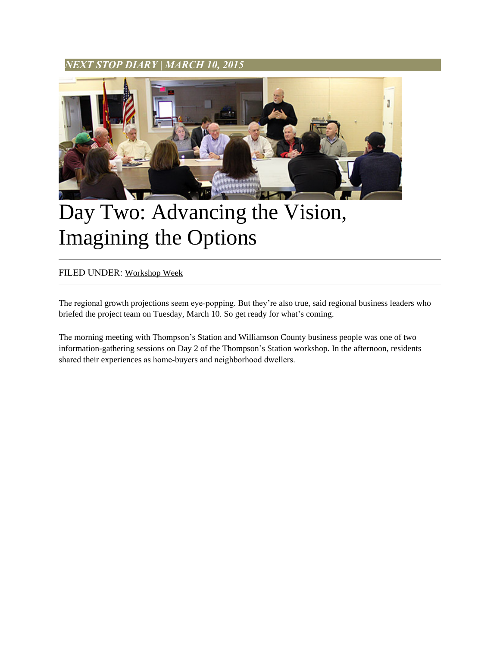## *NEXT STOP DIARY* **|** *MARCH 10, 2015*



## Day Two: Advancing the Vision, Imagining the Options

## FILED UNDER: [Workshop Week](http://www.nextstopts.com/category/workshop-week/)

The regional growth projections seem eye-popping. But they're also true, said regional business leaders who briefed the project team on Tuesday, March 10. So get ready for what's coming.

The morning meeting with Thompson's Station and Williamson County business people was one of two information-gathering sessions on Day 2 of the Thompson's Station workshop. In the afternoon, residents shared their experiences as home-buyers and neighborhood dwellers.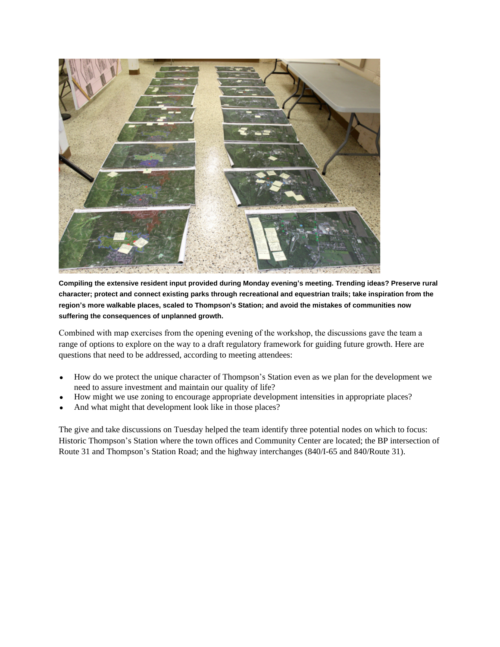

**Compiling the extensive resident input provided during Monday evening's meeting. Trending ideas? Preserve rural character; protect and connect existing parks through recreational and equestrian trails; take inspiration from the region's more walkable places, scaled to Thompson's Station; and avoid the mistakes of communities now suffering the consequences of unplanned growth.**

Combined with map exercises from the opening evening of the workshop, the discussions gave the team a range of options to explore on the way to a draft regulatory framework for guiding future growth. Here are questions that need to be addressed, according to meeting attendees:

- How do we protect the unique character of Thompson's Station even as we plan for the development we need to assure investment and maintain our quality of life?
- How might we use zoning to encourage appropriate development intensities in appropriate places?
- And what might that development look like in those places?

The give and take discussions on Tuesday helped the team identify three potential nodes on which to focus: Historic Thompson's Station where the town offices and Community Center are located; the BP intersection of Route 31 and Thompson's Station Road; and the highway interchanges (840/I-65 and 840/Route 31).